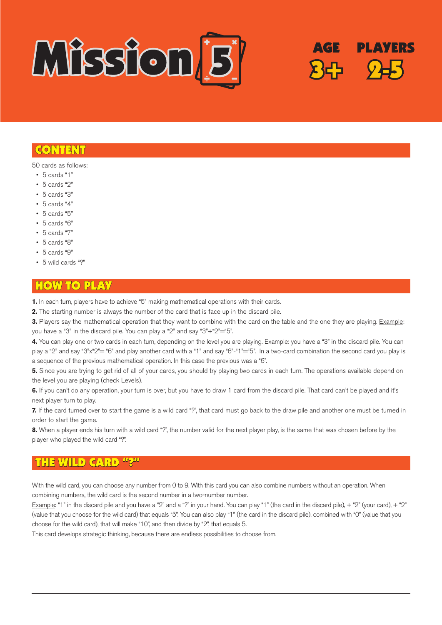

## CONTENT

50 cards as follows:

- $\cdot$  5 cards "1"
- • 5 cards "2"
- • 5 cards "3"
- $\cdot$  5 cards "4"
- $\cdot$  5 cards "5"
- • 5 cards "6"
- • 5 cards "7"
- • 5 cards "8"
- $\cdot$  5 cards "9"
- • 5 wild cards "?"

## HOW TO PLAY

**1.** In each turn, players have to achieve "5" making mathematical operations with their cards.

**2.** The starting number is always the number of the card that is face up in the discard pile.

**3.** Players say the mathematical operation that they want to combine with the card on the table and the one they are playing. Example: you have a "3" in the discard pile. You can play a "2" and say "3"+"2"="5".

**PLAYERS** 

**4.** You can play one or two cards in each turn, depending on the level you are playing. Example: you have a "3" in the discard pile. You can play a "2" and say "3"x"2"= "6" and play another card with a "1" and say "6"-"1"="5". In a two-card combination the second card you play is a sequence of the previous mathematical operation. In this case the previous was a "6".

**5.** Since you are trying to get rid of all of your cards, you should try playing two cards in each turn. The operations available depend on the level you are playing (check Levels).

**6.** If you can't do any operation, your turn is over, but you have to draw 1 card from the discard pile. That card can't be played and it's next player turn to play.

**7.** If the card turned over to start the game is a wild card "?", that card must go back to the draw pile and another one must be turned in order to start the game.

**8.** When a player ends his turn with a wild card "?", the number valid for the next player play, is the same that was chosen before by the player who played the wild card "?".

#### THE WILD CARD "?"

With the wild card, you can choose any number from 0 to 9. With this card you can also combine numbers without an operation. When combining numbers, the wild card is the second number in a two-number number.

Example: "1" in the discard pile and you have a "2" and a "?" in your hand. You can play "1" (the card in the discard pile),  $+$  "2" (your card),  $+$  "2" (value that you choose for the wild card) that equals "5". You can also play "1" (the card in the discard pile), combined with "0" (value that you choose for the wild card), that will make "10", and then divide by "2", that equals 5.

This card develops strategic thinking, because there are endless possibilities to choose from.